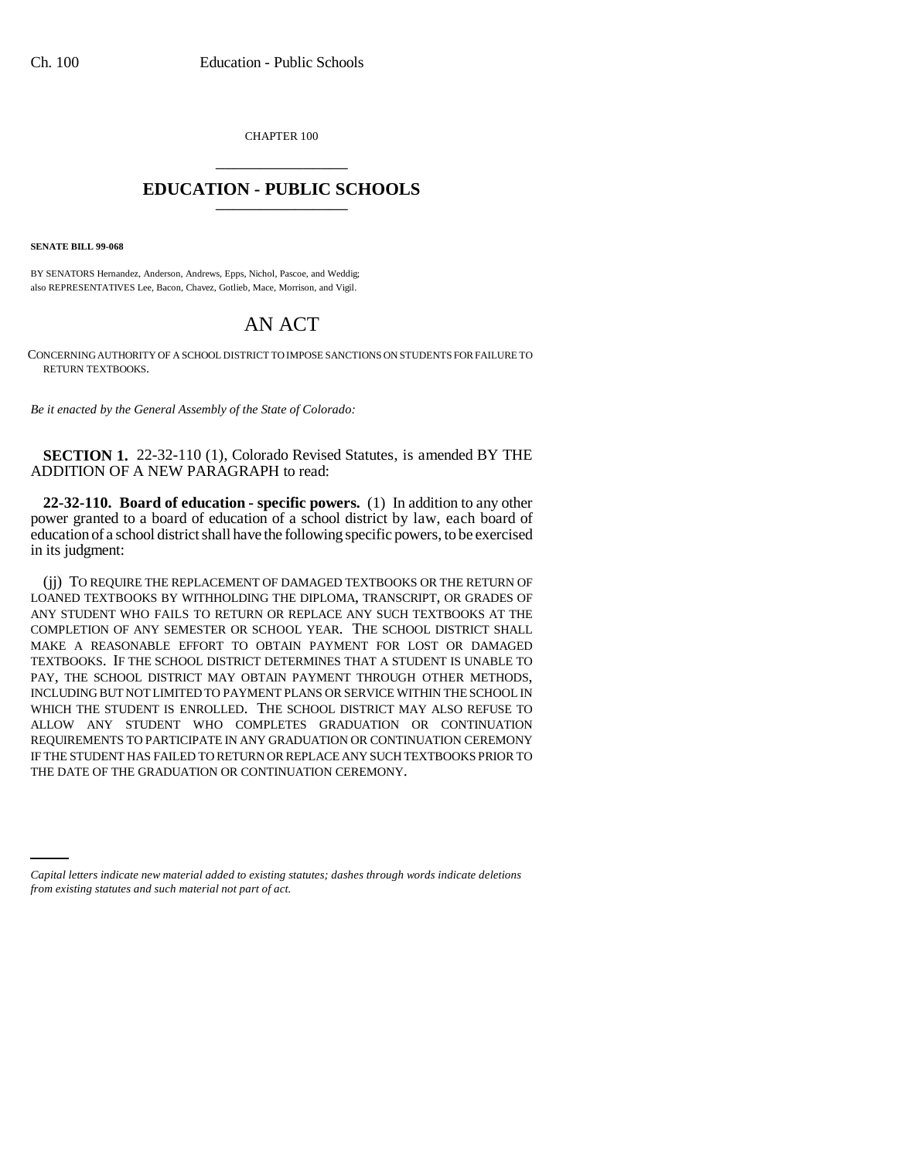CHAPTER 100 \_\_\_\_\_\_\_\_\_\_\_\_\_\_\_

## **EDUCATION - PUBLIC SCHOOLS** \_\_\_\_\_\_\_\_\_\_\_\_\_\_\_

**SENATE BILL 99-068** 

BY SENATORS Hernandez, Anderson, Andrews, Epps, Nichol, Pascoe, and Weddig; also REPRESENTATIVES Lee, Bacon, Chavez, Gotlieb, Mace, Morrison, and Vigil.

## AN ACT

CONCERNING AUTHORITY OF A SCHOOL DISTRICT TO IMPOSE SANCTIONS ON STUDENTS FOR FAILURE TO RETURN TEXTBOOKS.

*Be it enacted by the General Assembly of the State of Colorado:*

**SECTION 1.** 22-32-110 (1), Colorado Revised Statutes, is amended BY THE ADDITION OF A NEW PARAGRAPH to read:

**22-32-110. Board of education - specific powers.** (1) In addition to any other power granted to a board of education of a school district by law, each board of education of a school district shall have the following specific powers, to be exercised in its judgment:

THE DATE OF THE GRADUATION OR CONTINUATION CEREMONY.(jj) TO REQUIRE THE REPLACEMENT OF DAMAGED TEXTBOOKS OR THE RETURN OF LOANED TEXTBOOKS BY WITHHOLDING THE DIPLOMA, TRANSCRIPT, OR GRADES OF ANY STUDENT WHO FAILS TO RETURN OR REPLACE ANY SUCH TEXTBOOKS AT THE COMPLETION OF ANY SEMESTER OR SCHOOL YEAR. THE SCHOOL DISTRICT SHALL MAKE A REASONABLE EFFORT TO OBTAIN PAYMENT FOR LOST OR DAMAGED TEXTBOOKS. IF THE SCHOOL DISTRICT DETERMINES THAT A STUDENT IS UNABLE TO PAY, THE SCHOOL DISTRICT MAY OBTAIN PAYMENT THROUGH OTHER METHODS, INCLUDING BUT NOT LIMITED TO PAYMENT PLANS OR SERVICE WITHIN THE SCHOOL IN WHICH THE STUDENT IS ENROLLED. THE SCHOOL DISTRICT MAY ALSO REFUSE TO ALLOW ANY STUDENT WHO COMPLETES GRADUATION OR CONTINUATION REQUIREMENTS TO PARTICIPATE IN ANY GRADUATION OR CONTINUATION CEREMONY IF THE STUDENT HAS FAILED TO RETURN OR REPLACE ANY SUCH TEXTBOOKS PRIOR TO

*Capital letters indicate new material added to existing statutes; dashes through words indicate deletions from existing statutes and such material not part of act.*